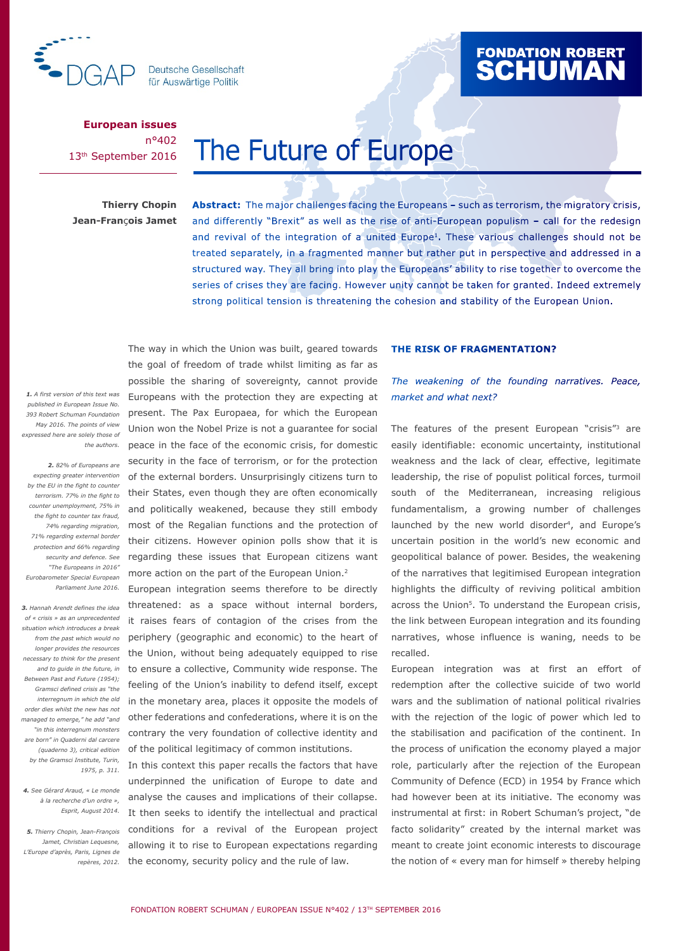

**Deutsche Gesellschaft** für Auswärtige Politik

# PEN. PAPER

**European issues** n°402 13th September 2016

# The Future of Europe

**Thierry Chopin Jean-Fran**ç**ois Jamet**

**Abstract:** The major challenges facing the Europeans – such as terrorism, the migratory crisis, and differently "Brexit" as well as the rise of anti-European populism – call for the redesign and revival of the integration of a united Europe1. These various challenges should not be treated separately, in a fragmented manner but rather put in perspective and addressed in a structured way. They all bring into play the Europeans' ability to rise together to overcome the series of crises they are facing. However unity cannot be taken for granted. Indeed extremely strong political tension is threatening the cohesion and stability of the European Union.

*1. A first version of this text was published in European Issue No. 393 Robert Schuman Foundation May 2016. The points of view expressed here are solely those of the authors.*

*2. 82% of Europeans are expecting greater intervention by the EU in the fight to counter counter unemployment, 75% in the fight to counter tax fraud, 71% regarding external border protection and 66% regarding security and defence. See "The Europeans in 2016" Eurobarometer Special European Parliament June 2016.* 

*of « crisis » as an unprecedented situation which introduces a break longer provides the resources necessary to think for the present Between Past and Future (1954); Gramsci defined crisis as "the order dies whilst the new has not "in this interregnum monsters are born" in Quaderni dal carcere (quaderno 3), critical edition by the Gramsci Institute, Turin, 1975, p. 311.*

*4. See Gérard Araud, « Le monde à la recherche d'un ordre »,* 

*Jamet, Christian Lequesne, L'Europe d'après, Paris, Lignes de repères, 2012.* 

terrorism. 77% in the fight to their States, even though they are often economically *74% regarding migration,*  most of the Regalian functions and the protection of The way in which the Union was built, geared towards the goal of freedom of trade whilst limiting as far as possible the sharing of sovereignty, cannot provide Europeans with the protection they are expecting at present. The Pax Europaea, for which the European Union won the Nobel Prize is not a guarantee for social peace in the face of the economic crisis, for domestic security in the face of terrorism, or for the protection of the external borders. Unsurprisingly citizens turn to and politically weakened, because they still embody their citizens. However opinion polls show that it is regarding these issues that European citizens want more action on the part of the European Union.2

3. Hannah Arendt defines the idea threatened: as a space without internal borders, *from the past which would no*  periphery (geographic and economic) to the heart of and to guide in the future, in to ensure a collective, Community wide response. The *interregnum in which the old* in the monetary area, places it opposite the models of managed to emerge," he add "and other federations and confederations, where it is on the European integration seems therefore to be directly it raises fears of contagion of the crises from the the Union, without being adequately equipped to rise feeling of the Union's inability to defend itself, except contrary the very foundation of collective identity and of the political legitimacy of common institutions.

*Esprit, August 2014.* It then seeks to identify the intellectual and practical *5. Thierry Chopin, Jean-François*  conditions for a revival of the European project In this context this paper recalls the factors that have underpinned the unification of Europe to date and analyse the causes and implications of their collapse. allowing it to rise to European expectations regarding the economy, security policy and the rule of law.

#### **THE RISK OF FRAGMENTATION?**

*The weakening of the founding narratives. Peace, market and what next?*

The features of the present European "crisis"<sup>3</sup> are easily identifiable: economic uncertainty, institutional weakness and the lack of clear, effective, legitimate leadership, the rise of populist political forces, turmoil south of the Mediterranean, increasing religious fundamentalism, a growing number of challenges launched by the new world disorder<sup>4</sup>, and Europe's uncertain position in the world's new economic and geopolitical balance of power. Besides, the weakening of the narratives that legitimised European integration highlights the difficulty of reviving political ambition across the Union<sup>5</sup>. To understand the European crisis, the link between European integration and its founding narratives, whose influence is waning, needs to be recalled.

European integration was at first an effort of redemption after the collective suicide of two world wars and the sublimation of national political rivalries with the rejection of the logic of power which led to the stabilisation and pacification of the continent. In the process of unification the economy played a major role, particularly after the rejection of the European Community of Defence (ECD) in 1954 by France which had however been at its initiative. The economy was instrumental at first: in Robert Schuman's project, "de facto solidarity" created by the internal market was meant to create joint economic interests to discourage the notion of « every man for himself » thereby helping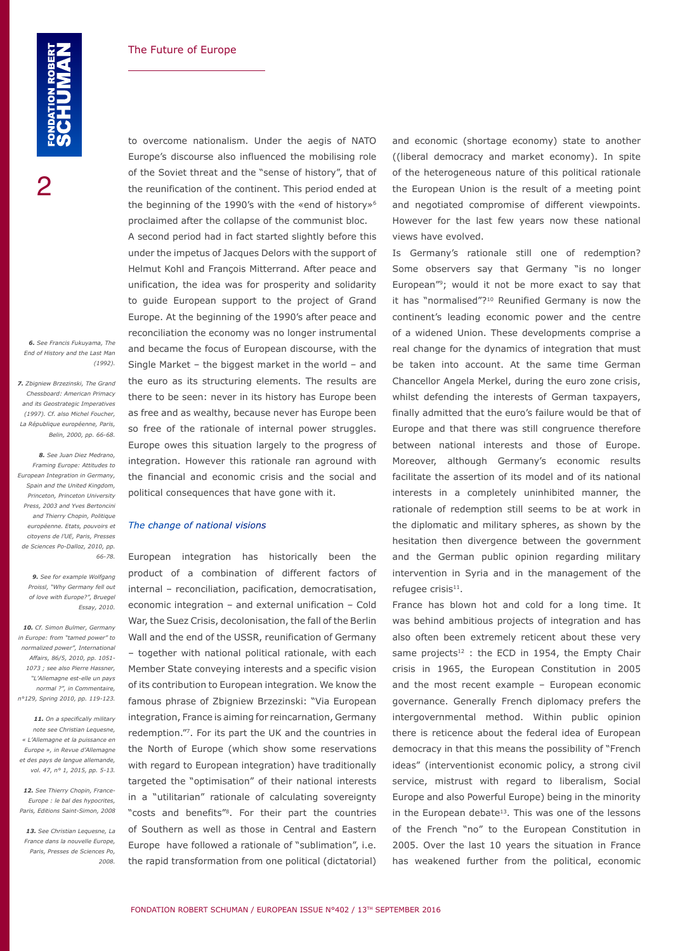*6. See Francis Fukuyama, The End of History and the Last Man (1992).* 

*7. Zbigniew Brzezinski, The Grand Chessboard: American Primacy and its Geostrategic Imperatives (1997). Cf. also Michel Foucher, La République européenne, Paris, Belin, 2000, pp. 66-68.*

*8. See Juan Diez Medrano, Framing Europe: Attitudes to European Integration in Germany, Spain and the United Kingdom, Princeton, Princeton University Press, 2003 and Yves Bertoncini and Thierry Chopin, Politique européenne. Etats, pouvoirs et citoyens de l'UE, Paris, Presses de Sciences Po-Dalloz, 2010, pp. 66-78.*

*9. See for example Wolfgang Proissl, "Why Germany fell out of love with Europe?", Bruegel Essay, 2010.*

*10. Cf. Simon Bulmer, Germany in Europe: from "tamed power" to normalized power", International Affairs, 86/5, 2010, pp. 1051- 1073 ; see also Pierre Hassner, "L'Allemagne est-elle un pays normal ?", in Commentaire, n°129, Spring 2010, pp. 119-123.*

*11. On a specifically military note see Christian Lequesne, « L'Allemagne et la puissance en Europe », in Revue d'Allemagne et des pays de langue allemande, vol. 47, n° 1, 2015, pp. 5-13.*

*12. See Thierry Chopin, France-Europe : le bal des hypocrites, Paris, Editions Saint-Simon, 2008*

*13. See Christian Lequesne, La France dans la nouvelle Europe, Paris, Presses de Sciences Po, 2008.*

to overcome nationalism. Under the aegis of NATO Europe's discourse also influenced the mobilising role of the Soviet threat and the "sense of history", that of the reunification of the continent. This period ended at the beginning of the 1990's with the «end of history»<sup>6</sup> proclaimed after the collapse of the communist bloc.

A second period had in fact started slightly before this under the impetus of Jacques Delors with the support of Helmut Kohl and François Mitterrand. After peace and unification, the idea was for prosperity and solidarity to guide European support to the project of Grand Europe. At the beginning of the 1990's after peace and reconciliation the economy was no longer instrumental and became the focus of European discourse, with the Single Market – the biggest market in the world – and the euro as its structuring elements. The results are there to be seen: never in its history has Europe been as free and as wealthy, because never has Europe been so free of the rationale of internal power struggles. Europe owes this situation largely to the progress of integration. However this rationale ran aground with the financial and economic crisis and the social and political consequences that have gone with it.

#### *The change of national visions*

European integration has historically been the product of a combination of different factors of internal – reconciliation, pacification, democratisation, economic integration – and external unification – Cold War, the Suez Crisis, decolonisation, the fall of the Berlin Wall and the end of the USSR, reunification of Germany – together with national political rationale, with each Member State conveying interests and a specific vision of its contribution to European integration. We know the famous phrase of Zbigniew Brzezinski: "Via European integration, France is aiming for reincarnation, Germany redemption."7. For its part the UK and the countries in the North of Europe (which show some reservations with regard to European integration) have traditionally targeted the "optimisation" of their national interests in a "utilitarian" rationale of calculating sovereignty "costs and benefits"8. For their part the countries of Southern as well as those in Central and Eastern Europe have followed a rationale of "sublimation", i.e. the rapid transformation from one political (dictatorial) and economic (shortage economy) state to another ((liberal democracy and market economy). In spite of the heterogeneous nature of this political rationale the European Union is the result of a meeting point and negotiated compromise of different viewpoints. However for the last few years now these national views have evolved.

Is Germany's rationale still one of redemption? Some observers say that Germany "is no longer European"9; would it not be more exact to say that it has "normalised"?<sup>10</sup> Reunified Germany is now the continent's leading economic power and the centre of a widened Union. These developments comprise a real change for the dynamics of integration that must be taken into account. At the same time German Chancellor Angela Merkel, during the euro zone crisis, whilst defending the interests of German taxpayers, finally admitted that the euro's failure would be that of Europe and that there was still congruence therefore between national interests and those of Europe. Moreover, although Germany's economic results facilitate the assertion of its model and of its national interests in a completely uninhibited manner, the rationale of redemption still seems to be at work in the diplomatic and military spheres, as shown by the hesitation then divergence between the government and the German public opinion regarding military intervention in Syria and in the management of the refugee crisis<sup>11</sup>.

France has blown hot and cold for a long time. It was behind ambitious projects of integration and has also often been extremely reticent about these very same projects $12$ : the ECD in 1954, the Empty Chair crisis in 1965, the European Constitution in 2005 and the most recent example – European economic governance. Generally French diplomacy prefers the intergovernmental method. Within public opinion there is reticence about the federal idea of European democracy in that this means the possibility of "French ideas" (interventionist economic policy, a strong civil service, mistrust with regard to liberalism, Social Europe and also Powerful Europe) being in the minority in the European debate<sup>13</sup>. This was one of the lessons of the French "no" to the European Constitution in 2005. Over the last 10 years the situation in France has weakened further from the political, economic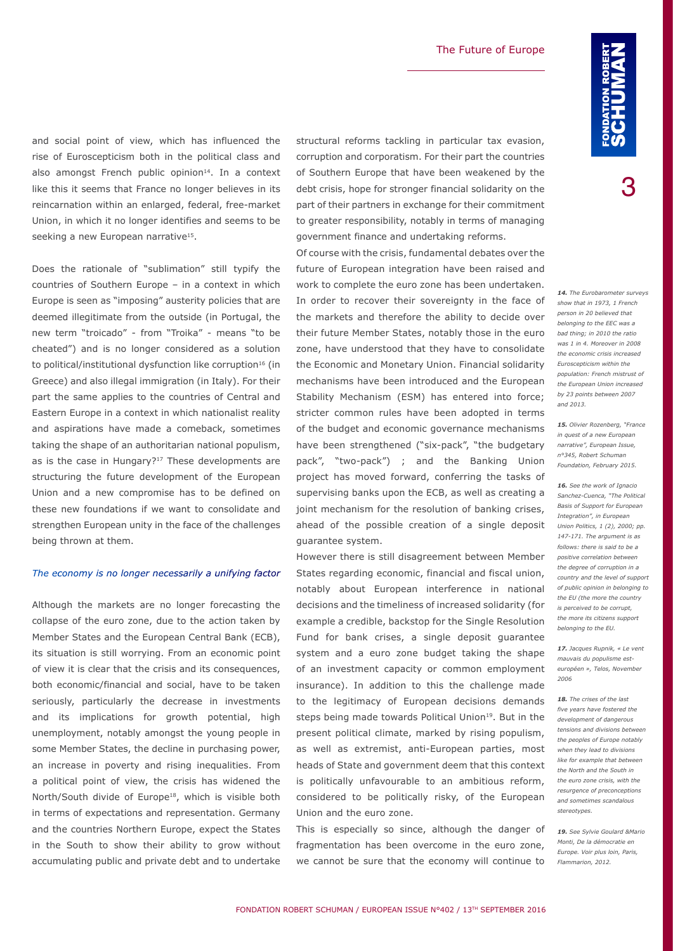and social point of view, which has influenced the rise of Euroscepticism both in the political class and also amongst French public opinion<sup>14</sup>. In a context like this it seems that France no longer believes in its reincarnation within an enlarged, federal, free-market Union, in which it no longer identifies and seems to be seeking a new European narrative<sup>15</sup>.

Does the rationale of "sublimation" still typify the countries of Southern Europe – in a context in which Europe is seen as "imposing" austerity policies that are deemed illegitimate from the outside (in Portugal, the new term "troicado" - from "Troika" - means "to be cheated") and is no longer considered as a solution to political/institutional dysfunction like corruption<sup>16</sup> (in Greece) and also illegal immigration (in Italy). For their part the same applies to the countries of Central and Eastern Europe in a context in which nationalist reality and aspirations have made a comeback, sometimes taking the shape of an authoritarian national populism, as is the case in Hungary? $17$  These developments are structuring the future development of the European Union and a new compromise has to be defined on these new foundations if we want to consolidate and strengthen European unity in the face of the challenges being thrown at them.

#### *The economy is no longer necessarily a unifying factor*

Although the markets are no longer forecasting the collapse of the euro zone, due to the action taken by Member States and the European Central Bank (ECB), its situation is still worrying. From an economic point of view it is clear that the crisis and its consequences, both economic/financial and social, have to be taken seriously, particularly the decrease in investments and its implications for growth potential, high unemployment, notably amongst the young people in some Member States, the decline in purchasing power, an increase in poverty and rising inequalities. From a political point of view, the crisis has widened the North/South divide of Europe<sup>18</sup>, which is visible both in terms of expectations and representation. Germany and the countries Northern Europe, expect the States in the South to show their ability to grow without accumulating public and private debt and to undertake structural reforms tackling in particular tax evasion, corruption and corporatism. For their part the countries of Southern Europe that have been weakened by the debt crisis, hope for stronger financial solidarity on the part of their partners in exchange for their commitment to greater responsibility, notably in terms of managing government finance and undertaking reforms.

Of course with the crisis, fundamental debates over the future of European integration have been raised and work to complete the euro zone has been undertaken. In order to recover their sovereignty in the face of the markets and therefore the ability to decide over their future Member States, notably those in the euro zone, have understood that they have to consolidate the Economic and Monetary Union. Financial solidarity mechanisms have been introduced and the European Stability Mechanism (ESM) has entered into force; stricter common rules have been adopted in terms of the budget and economic governance mechanisms have been strengthened ("six-pack", "the budgetary pack", "two-pack") ; and the Banking Union project has moved forward, conferring the tasks of supervising banks upon the ECB, as well as creating a joint mechanism for the resolution of banking crises, ahead of the possible creation of a single deposit guarantee system.

However there is still disagreement between Member States regarding economic, financial and fiscal union, notably about European interference in national decisions and the timeliness of increased solidarity (for example a credible, backstop for the Single Resolution Fund for bank crises, a single deposit guarantee system and a euro zone budget taking the shape of an investment capacity or common employment insurance). In addition to this the challenge made to the legitimacy of European decisions demands steps being made towards Political Union<sup>19</sup>. But in the present political climate, marked by rising populism, as well as extremist, anti-European parties, most heads of State and government deem that this context is politically unfavourable to an ambitious reform, considered to be politically risky, of the European Union and the euro zone.

This is especially so since, although the danger of fragmentation has been overcome in the euro zone, we cannot be sure that the economy will continue to

3

*14. The Eurobarometer surveys show that in 1973, 1 French person in 20 believed that belonging to the EEC was a bad thing; in 2010 the ratio was 1 in 4. Moreover in 2008 the economic crisis increased Euroscepticism within the population: French mistrust of the European Union increased by 23 points between 2007 and 2013.*

*15. Olivier Rozenberg, "France in quest of a new European narrative", European Issue, n°345, Robert Schuman Foundation, February 2015.*

*16. See the work of Ignacio Sanchez-Cuenca, "The Political Basis of Support for European Integration", in European Union Politics, 1 (2), 2000; pp. 147-171. The argument is as follows: there is said to be a positive correlation between the degree of corruption in a country and the level of support of public opinion in belonging to the EU (the more the country is perceived to be corrupt, the more its citizens support belonging to the EU.*

*17. Jacques Rupnik, « Le vent mauvais du populisme esteuropéen », Telos, November 2006*

*18. The crises of the last five years have fostered the development of dangerous tensions and divisions between the peoples of Europe notably when they lead to divisions like for example that between the North and the South in the euro zone crisis, with the resurgence of preconceptions and sometimes scandalous stereotypes.*

*19. See Sylvie Goulard &Mario Monti, De la démocratie en Europe. Voir plus loin, Paris, Flammarion, 2012.*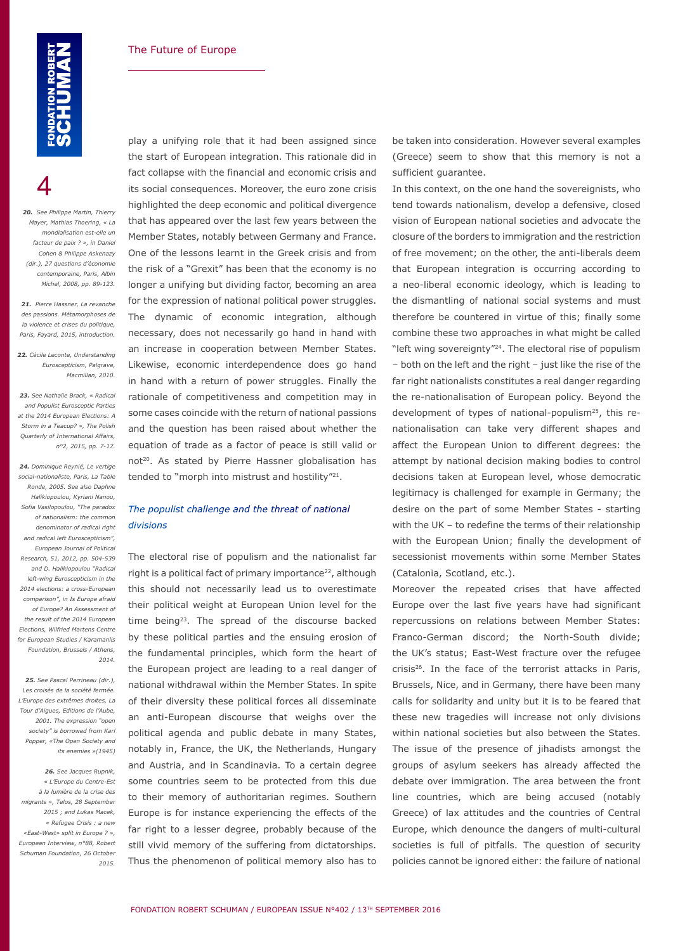$\boldsymbol{\varDelta}$ 

*20. See Philippe Martin, Thierry Mayer, Mathias Thoering, « La mondialisation est-elle un facteur de paix ? », in Daniel Cohen & Philippe Askenazy (dir.), 27 questions d'économie contemporaine, Paris, Albin Michel, 2008, pp. 89-123.*

*21. Pierre Hassner, La revanche des passions. Métamorphoses de la violence et crises du politique, Paris, Fayard, 2015, introduction.*

*22. Cécile Leconte, Understanding Euroscepticism, Palgrave, Macmillan, 2010.* 

*23. See Nathalie Brack, « Radical and Populist Eurosceptic Parties at the 2014 European Elections: A Storm in a Teacup? », The Polish Quarterly of International Affairs, n°2, 2015, pp. 7-17.* 

*24. Dominique Reynié, Le vertige social-nationaliste, Paris, La Table Ronde, 2005. See also Daphne Halikiopoulou, Kyriani Nanou, Sofia Vasilopoulou, "The paradox of nationalism: the common denominator of radical right and radical left Euroscepticism", European Journal of Political Research, 51, 2012, pp. 504-539 and D. Halikiopoulou "Radical left-wing Euroscepticism in the 2014 elections: a cross-European comparison", in Is Europe afraid of Europe? An Assessment of the result of the 2014 European Elections, Wilfried Martens Centre for European Studies / Karamanlis Foundation, Brussels / Athens, 2014.*

*25. See Pascal Perrineau (dir.), Les croisés de la société fermée. L'Europe des extrêmes droites, La Tour d'Aigues, Editions de l'Aube, 2001. The expression "open society" is borrowed from Karl Popper, «The Open Society and its enemies »(1945)*

*26. See Jacques Rupnik, « L'Europe du Centre-Est à la lumière de la crise des migrants », Telos, 28 September 2015 ; and Lukas Macek, « Refugee Crisis : a new «East-West» split in Europe ? », European Interview, n°88, Robert Schuman Foundation, 26 October 2015.*

play a unifying role that it had been assigned since the start of European integration. This rationale did in fact collapse with the financial and economic crisis and its social consequences. Moreover, the euro zone crisis highlighted the deep economic and political divergence that has appeared over the last few years between the Member States, notably between Germany and France. One of the lessons learnt in the Greek crisis and from the risk of a "Grexit" has been that the economy is no longer a unifying but dividing factor, becoming an area for the expression of national political power struggles. The dynamic of economic integration, although necessary, does not necessarily go hand in hand with an increase in cooperation between Member States. Likewise, economic interdependence does go hand in hand with a return of power struggles. Finally the rationale of competitiveness and competition may in some cases coincide with the return of national passions and the question has been raised about whether the equation of trade as a factor of peace is still valid or not<sup>20</sup>. As stated by Pierre Hassner globalisation has tended to "morph into mistrust and hostility"<sup>21</sup>.

# *The populist challenge and the threat of national divisions*

The electoral rise of populism and the nationalist far right is a political fact of primary importance<sup>22</sup>, although this should not necessarily lead us to overestimate their political weight at European Union level for the time being<sup>23</sup>. The spread of the discourse backed by these political parties and the ensuing erosion of the fundamental principles, which form the heart of the European project are leading to a real danger of national withdrawal within the Member States. In spite of their diversity these political forces all disseminate an anti-European discourse that weighs over the political agenda and public debate in many States, notably in, France, the UK, the Netherlands, Hungary and Austria, and in Scandinavia. To a certain degree some countries seem to be protected from this due to their memory of authoritarian regimes. Southern Europe is for instance experiencing the effects of the far right to a lesser degree, probably because of the still vivid memory of the suffering from dictatorships. Thus the phenomenon of political memory also has to

be taken into consideration. However several examples (Greece) seem to show that this memory is not a sufficient guarantee.

In this context, on the one hand the sovereignists, who tend towards nationalism, develop a defensive, closed vision of European national societies and advocate the closure of the borders to immigration and the restriction of free movement; on the other, the anti-liberals deem that European integration is occurring according to a neo-liberal economic ideology, which is leading to the dismantling of national social systems and must therefore be countered in virtue of this; finally some combine these two approaches in what might be called "left wing sovereignty"24. The electoral rise of populism – both on the left and the right – just like the rise of the far right nationalists constitutes a real danger regarding the re-nationalisation of European policy. Beyond the development of types of national-populism<sup>25</sup>, this renationalisation can take very different shapes and affect the European Union to different degrees: the attempt by national decision making bodies to control decisions taken at European level, whose democratic legitimacy is challenged for example in Germany; the desire on the part of some Member States - starting with the UK – to redefine the terms of their relationship with the European Union; finally the development of secessionist movements within some Member States (Catalonia, Scotland, etc.).

Moreover the repeated crises that have affected Europe over the last five years have had significant repercussions on relations between Member States: Franco-German discord; the North-South divide; the UK's status; East-West fracture over the refugee crisis<sup>26</sup>. In the face of the terrorist attacks in Paris, Brussels, Nice, and in Germany, there have been many calls for solidarity and unity but it is to be feared that these new tragedies will increase not only divisions within national societies but also between the States. The issue of the presence of jihadists amongst the groups of asylum seekers has already affected the debate over immigration. The area between the front line countries, which are being accused (notably Greece) of lax attitudes and the countries of Central Europe, which denounce the dangers of multi-cultural societies is full of pitfalls. The question of security policies cannot be ignored either: the failure of national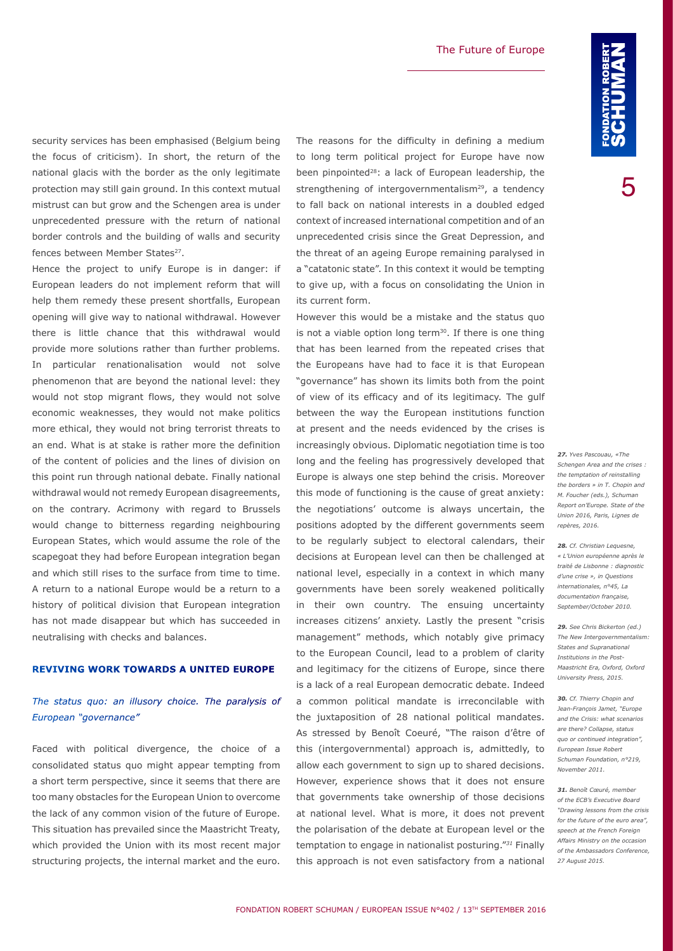security services has been emphasised (Belgium being the focus of criticism). In short, the return of the national glacis with the border as the only legitimate protection may still gain ground. In this context mutual mistrust can but grow and the Schengen area is under unprecedented pressure with the return of national border controls and the building of walls and security fences between Member States<sup>27</sup>.

Hence the project to unify Europe is in danger: if European leaders do not implement reform that will help them remedy these present shortfalls, European opening will give way to national withdrawal. However there is little chance that this withdrawal would provide more solutions rather than further problems. In particular renationalisation would not solve phenomenon that are beyond the national level: they would not stop migrant flows, they would not solve economic weaknesses, they would not make politics more ethical, they would not bring terrorist threats to an end. What is at stake is rather more the definition of the content of policies and the lines of division on this point run through national debate. Finally national withdrawal would not remedy European disagreements, on the contrary. Acrimony with regard to Brussels would change to bitterness regarding neighbouring European States, which would assume the role of the scapegoat they had before European integration began and which still rises to the surface from time to time. A return to a national Europe would be a return to a history of political division that European integration has not made disappear but which has succeeded in neutralising with checks and balances.

# **REVIVING WORK TOWARDS A UNITED EUROPE**

# *The status quo: an illusory choice. The paralysis of European "governance"*

Faced with political divergence, the choice of a consolidated status quo might appear tempting from a short term perspective, since it seems that there are too many obstacles for the European Union to overcome the lack of any common vision of the future of Europe. This situation has prevailed since the Maastricht Treaty, which provided the Union with its most recent major structuring projects, the internal market and the euro. The reasons for the difficulty in defining a medium to long term political project for Europe have now been pinpointed<sup>28</sup>: a lack of European leadership, the strengthening of intergovernmentalism<sup>29</sup>, a tendency to fall back on national interests in a doubled edged context of increased international competition and of an unprecedented crisis since the Great Depression, and the threat of an ageing Europe remaining paralysed in a "catatonic state". In this context it would be tempting to give up, with a focus on consolidating the Union in its current form.

However this would be a mistake and the status quo is not a viable option long term $30$ . If there is one thing that has been learned from the repeated crises that the Europeans have had to face it is that European "governance" has shown its limits both from the point of view of its efficacy and of its legitimacy. The gulf between the way the European institutions function at present and the needs evidenced by the crises is increasingly obvious. Diplomatic negotiation time is too long and the feeling has progressively developed that Europe is always one step behind the crisis. Moreover this mode of functioning is the cause of great anxiety: the negotiations' outcome is always uncertain, the positions adopted by the different governments seem to be regularly subject to electoral calendars, their decisions at European level can then be challenged at national level, especially in a context in which many governments have been sorely weakened politically in their own country. The ensuing uncertainty increases citizens' anxiety. Lastly the present "crisis management" methods, which notably give primacy to the European Council, lead to a problem of clarity and legitimacy for the citizens of Europe, since there is a lack of a real European democratic debate. Indeed a common political mandate is irreconcilable with the juxtaposition of 28 national political mandates. As stressed by Benoît Coeuré, "The raison d'être of this (intergovernmental) approach is, admittedly, to allow each government to sign up to shared decisions. However, experience shows that it does not ensure that governments take ownership of those decisions at national level. What is more, it does not prevent the polarisation of the debate at European level or the temptation to engage in nationalist posturing."*<sup>31</sup>* Finally this approach is not even satisfactory from a national

*27. Yves Pascouau, «The Schengen Area and the crises : the temptation of reinstalling the borders » in T. Chopin and M. Foucher (eds.), Schuman Report on'Europe. State of the Union 2016, Paris, Lignes de repères, 2016.* 

*28. Cf. Christian Lequesne, « L'Union européenne après le traité de Lisbonne : diagnostic d'une crise », in Questions internationales, n°45, La documentation française, September/October 2010.* 

*29. See Chris Bickerton (ed.) [The New Intergovernmentalism:](http://ukcatalogue.oup.com/product/9780198703617.do)  [States and Supranational](http://ukcatalogue.oup.com/product/9780198703617.do)  [Institutions in the Post-](http://ukcatalogue.oup.com/product/9780198703617.do)[Maastricht Era](http://ukcatalogue.oup.com/product/9780198703617.do), Oxford, Oxford University Press, 2015.*

*30. Cf. Thierry Chopin and Jean-François Jamet, "Europe and the Crisis: what scenarios are there? Collapse, status quo or continued integration", European Issue Robert Schuman Foundation, n°219, November 2011.*

*31. Benoît Cœuré, member of the ECB's Executive Board "Drawing lessons from the crisis for the future of the euro area", speech at the French Foreign Affairs Ministry on the occasion of the Ambassadors Conference, 27 August 2015.*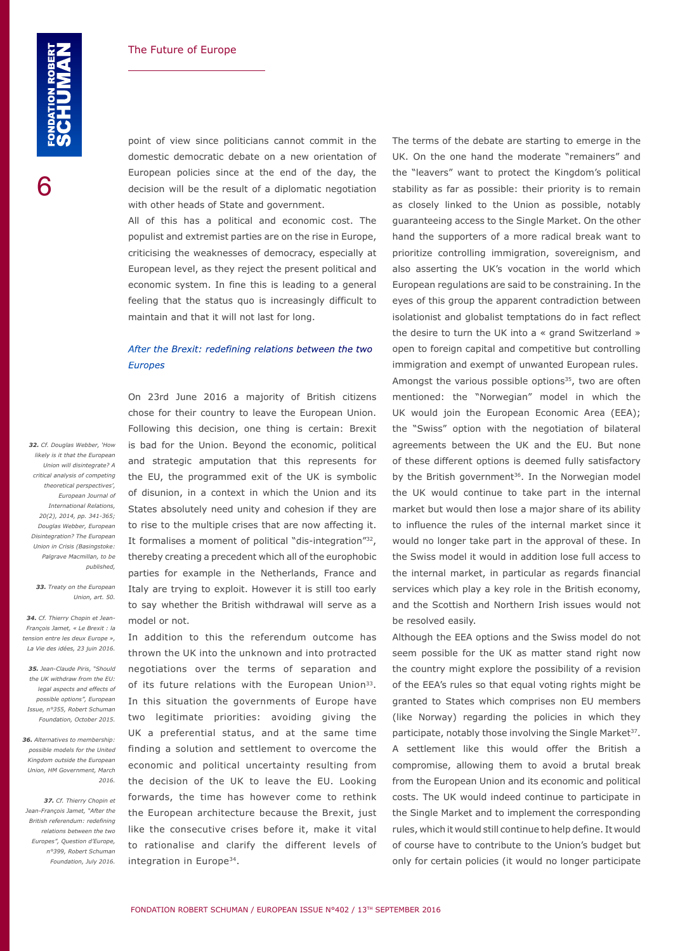point of view since politicians cannot commit in the domestic democratic debate on a new orientation of European policies since at the end of the day, the decision will be the result of a diplomatic negotiation with other heads of State and government.

All of this has a political and economic cost. The populist and extremist parties are on the rise in Europe, criticising the weaknesses of democracy, especially at European level, as they reject the present political and economic system. In fine this is leading to a general feeling that the status quo is increasingly difficult to maintain and that it will not last for long.

# *After the Brexit: redefining relations between the two Europes*

On 23rd June 2016 a majority of British citizens chose for their country to leave the European Union. Following this decision, one thing is certain: Brexit is bad for the Union. Beyond the economic, political and strategic amputation that this represents for the EU, the programmed exit of the UK is symbolic of disunion, in a context in which the Union and its States absolutely need unity and cohesion if they are to rise to the multiple crises that are now affecting it. It formalises a moment of political "dis-integration"<sup>32</sup>, thereby creating a precedent which all of the europhobic parties for example in the Netherlands, France and Italy are trying to exploit. However it is still too early to say whether the British withdrawal will serve as a model or not.

In addition to this the referendum outcome has thrown the UK into the unknown and into protracted negotiations over the terms of separation and of its future relations with the European Union<sup>33</sup>. In this situation the governments of Europe have two legitimate priorities: avoiding giving the UK a preferential status, and at the same time finding a solution and settlement to overcome the economic and political uncertainty resulting from the decision of the UK to leave the EU. Looking forwards, the time has however come to rethink the European architecture because the Brexit, just like the consecutive crises before it, make it vital to rationalise and clarify the different levels of integration in Europe34.

The terms of the debate are starting to emerge in the UK. On the one hand the moderate "remainers" and the "leavers" want to protect the Kingdom's political stability as far as possible: their priority is to remain as closely linked to the Union as possible, notably guaranteeing access to the Single Market. On the other hand the supporters of a more radical break want to prioritize controlling immigration, sovereignism, and also asserting the UK's vocation in the world which European regulations are said to be constraining. In the eyes of this group the apparent contradiction between isolationist and globalist temptations do in fact reflect the desire to turn the UK into a « grand Switzerland » open to foreign capital and competitive but controlling immigration and exempt of unwanted European rules. Amongst the various possible options $35$ , two are often mentioned: the "Norwegian" model in which the UK would join the European Economic Area (EEA); the "Swiss" option with the negotiation of bilateral agreements between the UK and the EU. But none of these different options is deemed fully satisfactory by the British government<sup>36</sup>. In the Norwegian model the UK would continue to take part in the internal market but would then lose a major share of its ability to influence the rules of the internal market since it would no longer take part in the approval of these. In the Swiss model it would in addition lose full access to the internal market, in particular as regards financial services which play a key role in the British economy, and the Scottish and Northern Irish issues would not be resolved easily.

Although the EEA options and the Swiss model do not seem possible for the UK as matter stand right now the country might explore the possibility of a revision of the EEA's rules so that equal voting rights might be granted to States which comprises non EU members (like Norway) regarding the policies in which they participate, notably those involving the Single Market<sup>37</sup>. A settlement like this would offer the British a compromise, allowing them to avoid a brutal break from the European Union and its economic and political costs. The UK would indeed continue to participate in the Single Market and to implement the corresponding rules, which it would still continue to help define. It would of course have to contribute to the Union's budget but only for certain policies (it would no longer participate

*32. Cf. Douglas Webber, 'How likely is it that the European Union will disintegrate? A critical analysis of competing theoretical perspectives', European Journal of International Relations, 20(2), 2014, pp. 341-365; Douglas Webber, European Disintegration? The European Union in Crisis (Basingstoke: Palgrave Macmillan, to be published,*

*33. Treaty on the European Union, art. 50.*

*34. Cf. Thierry Chopin et Jean-François Jamet, « Le Brexit : la tension entre les deux Europe », La Vie des idées, 23 juin 2016.*

*35. Jean-Claude Piris, "Should the UK withdraw from the EU: legal aspects and effects of possible options", European Issue, n°355, Robert Schuman Foundation, October 2015.*

*36. Alternatives to membership: possible models for the United Kingdom outside the European Union, HM Government, March 2016.*

*37. Cf. Thierry Chopin et Jean-François Jamet, "After the British referendum: redefining relations between the two Europes", Question d'Europe, n°399, Robert Schuman Foundation, July 2016.*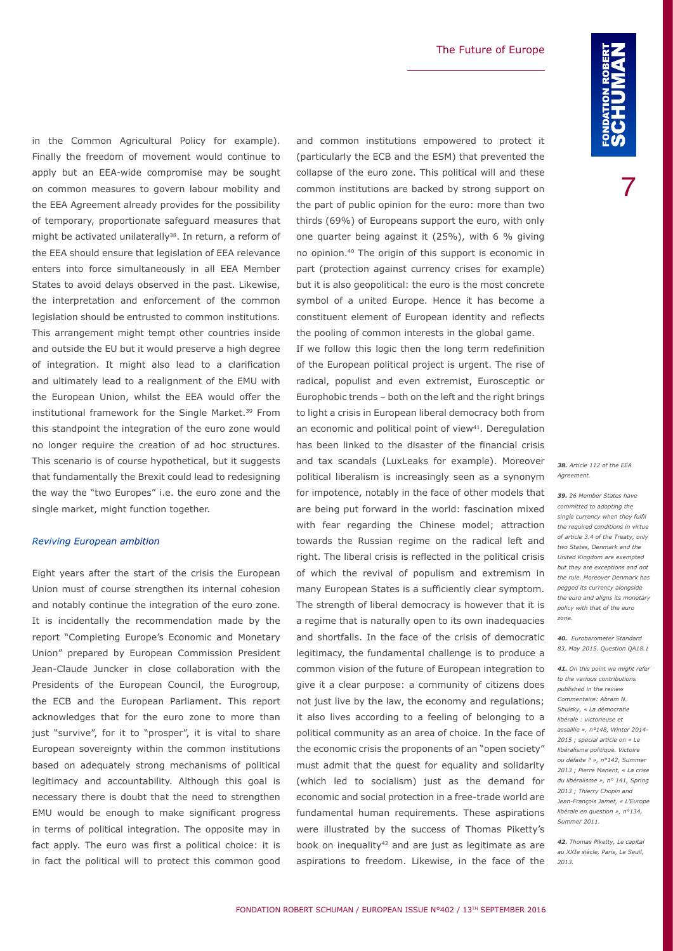in the Common Agricultural Policy for example). Finally the freedom of movement would continue to apply but an EEA-wide compromise may be sought on common measures to govern labour mobility and the EEA Agreement already provides for the possibility of temporary, proportionate safeguard measures that might be activated unilaterally<sup>38</sup>. In return, a reform of the EEA should ensure that legislation of EEA relevance enters into force simultaneously in all EEA Member States to avoid delays observed in the past. Likewise, the interpretation and enforcement of the common legislation should be entrusted to common institutions. This arrangement might tempt other countries inside and outside the EU but it would preserve a high degree of integration. It might also lead to a clarification and ultimately lead to a realignment of the EMU with the European Union, whilst the EEA would offer the institutional framework for the Single Market.<sup>39</sup> From this standpoint the integration of the euro zone would no longer require the creation of ad hoc structures. This scenario is of course hypothetical, but it suggests that fundamentally the Brexit could lead to redesigning the way the "two Europes" i.e. the euro zone and the single market, might function together.

#### *Reviving European ambition*

Eight years after the start of the crisis the European Union must of course strengthen its internal cohesion and notably continue the integration of the euro zone. It is incidentally the recommendation made by the report "Completing Europe's Economic and Monetary Union" prepared by European Commission President Jean-Claude Juncker in close collaboration with the Presidents of the European Council, the Eurogroup, the ECB and the European Parliament. This report acknowledges that for the euro zone to more than just "survive", for it to "prosper", it is vital to share European sovereignty within the common institutions based on adequately strong mechanisms of political legitimacy and accountability. Although this goal is necessary there is doubt that the need to strengthen EMU would be enough to make significant progress in terms of political integration. The opposite may in fact apply. The euro was first a political choice: it is in fact the political will to protect this common good and common institutions empowered to protect it (particularly the ECB and the ESM) that prevented the collapse of the euro zone. This political will and these common institutions are backed by strong support on the part of public opinion for the euro: more than two thirds (69%) of Europeans support the euro, with only one quarter being against it (25%), with 6 % giving no opinion.40 The origin of this support is economic in part (protection against currency crises for example) but it is also geopolitical: the euro is the most concrete symbol of a united Europe. Hence it has become a constituent element of European identity and reflects the pooling of common interests in the global game.

If we follow this logic then the long term redefinition of the European political project is urgent. The rise of radical, populist and even extremist, Eurosceptic or Europhobic trends – both on the left and the right brings to light a crisis in European liberal democracy both from an economic and political point of view<sup>41</sup>. Deregulation has been linked to the disaster of the financial crisis and tax scandals (LuxLeaks for example). Moreover political liberalism is increasingly seen as a synonym for impotence, notably in the face of other models that are being put forward in the world: fascination mixed with fear regarding the Chinese model; attraction towards the Russian regime on the radical left and right. The liberal crisis is reflected in the political crisis of which the revival of populism and extremism in many European States is a sufficiently clear symptom. The strength of liberal democracy is however that it is a regime that is naturally open to its own inadequacies and shortfalls. In the face of the crisis of democratic legitimacy, the fundamental challenge is to produce a common vision of the future of European integration to give it a clear purpose: a community of citizens does not just live by the law, the economy and regulations; it also lives according to a feeling of belonging to a political community as an area of choice. In the face of the economic crisis the proponents of an "open society" must admit that the quest for equality and solidarity (which led to socialism) just as the demand for economic and social protection in a free-trade world are fundamental human requirements. These aspirations were illustrated by the success of Thomas Piketty's book on inequality<sup>42</sup> and are just as legitimate as are aspirations to freedom. Likewise, in the face of the

*38. Article 112 of the EEA Agreement.*

*39. 26 Member States have committed to adopting the single currency when they fulfil the required conditions in virtue of article 3.4 of the Treaty, only two States, Denmark and the United Kingdom are exempted but they are exceptions and not the rule. Moreover Denmark has pegged its currency alongside the euro and aligns its monetary policy with that of the euro zone.*

*40. Eurobarometer Standard 83, May 2015. Question QA18.1*

*41. On this point we might refer to the various contributions published in the review Commentaire: Abram N. Shulsky, « La démocratie libérale : victorieuse et assaillie », n°148, Winter 2014- 2015 ; special article on « Le libéralisme politique. Victoire ou défaite ? », n°142, Summer 2013 ; Pierre Manent, « La crise du libéralisme », n° 141, Spring 2013 ; Thierry Chopin and Jean-François Jamet, « L'Europe libérale en question », n°134, Summer 2011.*

*42. Thomas Piketty, Le capital au XXIe siècle, Paris, Le Seuil, 2013.*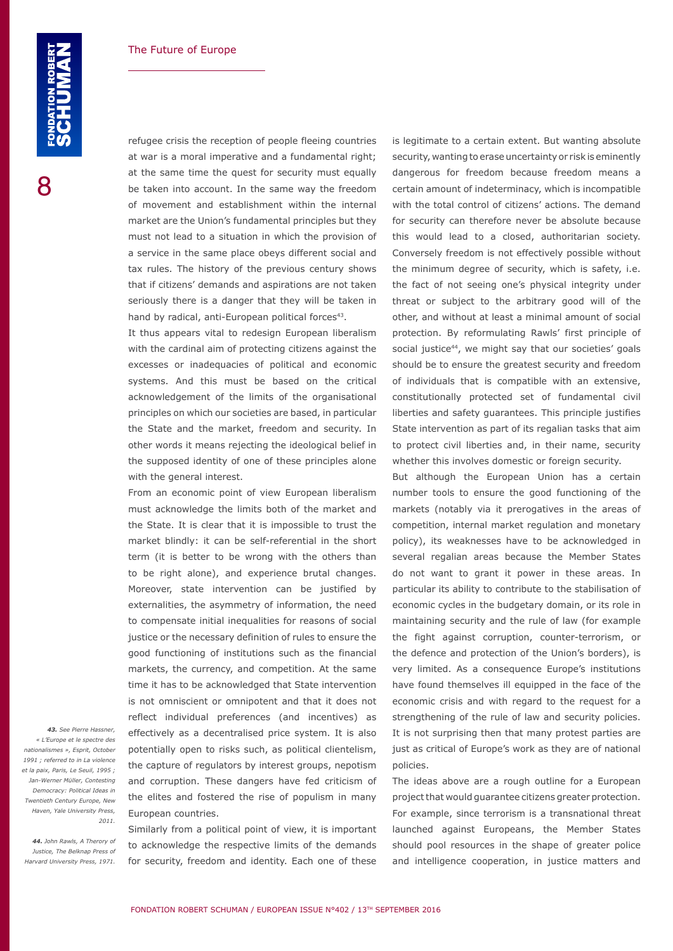refugee crisis the reception of people fleeing countries at war is a moral imperative and a fundamental right; at the same time the quest for security must equally be taken into account. In the same way the freedom of movement and establishment within the internal market are the Union's fundamental principles but they must not lead to a situation in which the provision of a service in the same place obeys different social and tax rules. The history of the previous century shows that if citizens' demands and aspirations are not taken seriously there is a danger that they will be taken in hand by radical, anti-European political forces<sup>43</sup>.

It thus appears vital to redesign European liberalism with the cardinal aim of protecting citizens against the excesses or inadequacies of political and economic systems. And this must be based on the critical acknowledgement of the limits of the organisational principles on which our societies are based, in particular the State and the market, freedom and security. In other words it means rejecting the ideological belief in the supposed identity of one of these principles alone with the general interest.

From an economic point of view European liberalism must acknowledge the limits both of the market and the State. It is clear that it is impossible to trust the market blindly: it can be self-referential in the short term (it is better to be wrong with the others than to be right alone), and experience brutal changes. Moreover, state intervention can be justified by externalities, the asymmetry of information, the need to compensate initial inequalities for reasons of social justice or the necessary definition of rules to ensure the good functioning of institutions such as the financial markets, the currency, and competition. At the same time it has to be acknowledged that State intervention is not omniscient or omnipotent and that it does not reflect individual preferences (and incentives) as effectively as a decentralised price system. It is also potentially open to risks such, as political clientelism, the capture of regulators by interest groups, nepotism and corruption. These dangers have fed criticism of the elites and fostered the rise of populism in many European countries.

*43. See Pierre Hassner, « L'Europe et le spectre des nationalismes », Esprit, October 1991 ; referred to in La violence et la paix, Paris, Le Seuil, 1995 ; Jan-Werner Müller, Contesting Democracy: Political Ideas in Twentieth Century Europe, New Haven, Yale University Press, 2011.*

*44. John Rawls, A Therory of Justice, The Belknap Press of Harvard University Press, 1971.*

Similarly from a political point of view, it is important to acknowledge the respective limits of the demands for security, freedom and identity. Each one of these

is legitimate to a certain extent. But wanting absolute security, wanting to erase uncertainty or risk is eminently dangerous for freedom because freedom means a certain amount of indeterminacy, which is incompatible with the total control of citizens' actions. The demand for security can therefore never be absolute because this would lead to a closed, authoritarian society. Conversely freedom is not effectively possible without the minimum degree of security, which is safety, i.e. the fact of not seeing one's physical integrity under threat or subject to the arbitrary good will of the other, and without at least a minimal amount of social protection. By reformulating Rawls' first principle of social justice<sup>44</sup>, we might say that our societies' goals should be to ensure the greatest security and freedom of individuals that is compatible with an extensive, constitutionally protected set of fundamental civil liberties and safety guarantees. This principle justifies State intervention as part of its regalian tasks that aim to protect civil liberties and, in their name, security whether this involves domestic or foreign security.

But although the European Union has a certain number tools to ensure the good functioning of the markets (notably via it prerogatives in the areas of competition, internal market regulation and monetary policy), its weaknesses have to be acknowledged in several regalian areas because the Member States do not want to grant it power in these areas. In particular its ability to contribute to the stabilisation of economic cycles in the budgetary domain, or its role in maintaining security and the rule of law (for example the fight against corruption, counter-terrorism, or the defence and protection of the Union's borders), is very limited. As a consequence Europe's institutions have found themselves ill equipped in the face of the economic crisis and with regard to the request for a strengthening of the rule of law and security policies. It is not surprising then that many protest parties are just as critical of Europe's work as they are of national policies.

The ideas above are a rough outline for a European project that would guarantee citizens greater protection. For example, since terrorism is a transnational threat launched against Europeans, the Member States should pool resources in the shape of greater police and intelligence cooperation, in justice matters and

8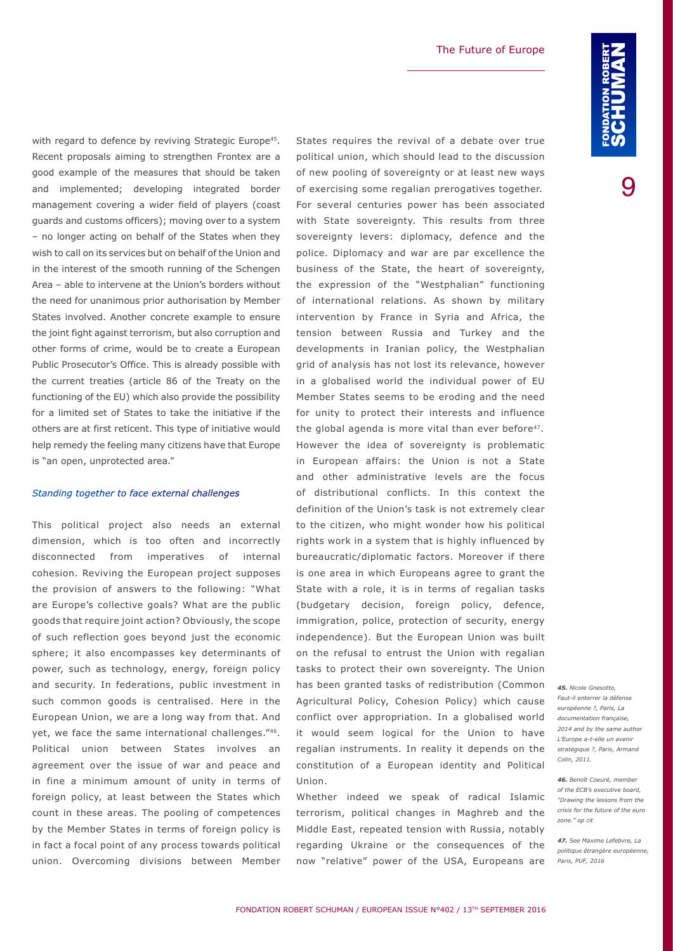with regard to defence by reviving Strategic Europe<sup>45</sup>. Recent proposals aiming to strengthen Frontex are a good example of the measures that should be taken and implemented; developing integrated border management covering a wider field of players (coast guards and customs officers); moving over to a system – no longer acting on behalf of the States when they wish to call on its services but on behalf of the Union and in the interest of the smooth running of the Schengen Area – able to intervene at the Union's borders without the need for unanimous prior authorisation by Member States involved. Another concrete example to ensure the joint fight against terrorism, but also corruption and other forms of crime, would be to create a European Public Prosecutor's Office. This is already possible with the current treaties (article 86 of the Treaty on the functioning of the EU) which also provide the possibility for a limited set of States to take the initiative if the others are at first reticent. This type of initiative would help remedy the feeling many citizens have that Europe is "an open, unprotected area."

### *Standing together to face external challenges*

This political project also needs an external dimension, which is too often and incorrectly disconnected from imperatives of internal cohesion. Reviving the European project supposes the provision of answers to the following: "What are Europe's collective goals? What are the public goods that require joint action? Obviously, the scope of such reflection goes beyond just the economic sphere; it also encompasses key determinants of power, such as technology, energy, foreign policy and security. In federations, public investment in such common goods is centralised. Here in the European Union, we are a long way from that. And yet, we face the same international challenges."46. Political union between States involves an agreement over the issue of war and peace and in fine a minimum amount of unity in terms of foreign policy, at least between the States which count in these areas. The pooling of competences by the Member States in terms of foreign policy is in fact a focal point of any process towards political union. Overcoming divisions between Member

States requires the revival of a debate over true political union, which should lead to the discussion of new pooling of sovereignty or at least new ways of exercising some regalian prerogatives together. For several centuries power has been associated with State sovereignty. This results from three sovereignty levers: diplomacy, defence and the police. Diplomacy and war are par excellence the business of the State, the heart of sovereignty, the expression of the "Westphalian" functioning of international relations. As shown by military intervention by France in Syria and Africa, the tension between Russia and Turkey and the developments in Iranian policy, the Westphalian grid of analysis has not lost its relevance, however in a globalised world the individual power of EU Member States seems to be eroding and the need for unity to protect their interests and influence the global agenda is more vital than ever before<sup>47</sup>. However the idea of sovereignty is problematic in European affairs: the Union is not a State and other administrative levels are the focus of distributional conflicts. In this context the definition of the Union's task is not extremely clear to the citizen, who might wonder how his political rights work in a system that is highly influenced by bureaucratic/diplomatic factors. Moreover if there is one area in which Europeans agree to grant the State with a role, it is in terms of regalian tasks (budgetary decision, foreign policy, defence, immigration, police, protection of security, energy independence). But the European Union was built on the refusal to entrust the Union with regalian tasks to protect their own sovereignty. The Union has been granted tasks of redistribution (Common Agricultural Policy, Cohesion Policy) which cause conflict over appropriation. In a globalised world it would seem logical for the Union to have regalian instruments. In reality it depends on the constitution of a European identity and Political Union.

Whether indeed we speak of radical Islamic terrorism, political changes in Maghreb and the Middle East, repeated tension with Russia, notably regarding Ukraine or the consequences of the now "relative" power of the USA, Europeans are

*45. Nicole Gnesotto, Faut-il enterrer la défense européenne ?, Paris, La documentation française,*  2014 and by the same author *L'Europe a-t-elle un avenir stratégique ?, Paris, Armand Colin, 2011.*

*46. Benoît Coeuré, member of the ECB's executive board, "Drawing the lessons from the crisis for the future of the euro zone." op cit*

*47. See Maxime Lefebvre, La politique étrangère européenne, Paris, PUF, 2016*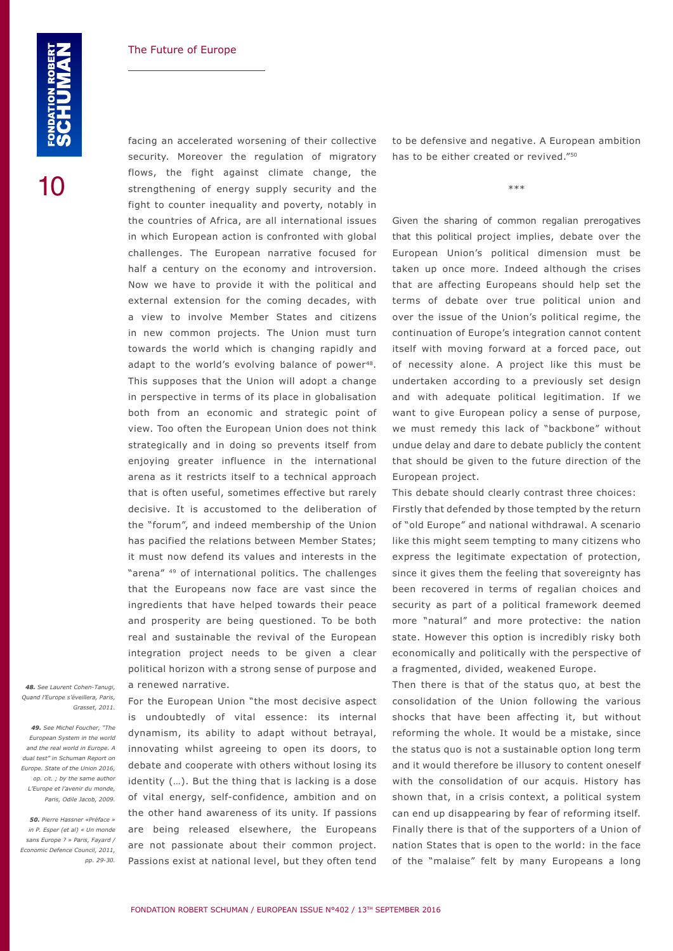facing an accelerated worsening of their collective security. Moreover the regulation of migratory flows, the fight against climate change, the strengthening of energy supply security and the fight to counter inequality and poverty, notably in the countries of Africa, are all international issues in which European action is confronted with global challenges. The European narrative focused for half a century on the economy and introversion. Now we have to provide it with the political and external extension for the coming decades, with a view to involve Member States and citizens in new common projects. The Union must turn towards the world which is changing rapidly and adapt to the world's evolving balance of power<sup>48</sup>. This supposes that the Union will adopt a change in perspective in terms of its place in globalisation both from an economic and strategic point of view. Too often the European Union does not think strategically and in doing so prevents itself from enjoying greater influence in the international arena as it restricts itself to a technical approach that is often useful, sometimes effective but rarely decisive. It is accustomed to the deliberation of the "forum", and indeed membership of the Union has pacified the relations between Member States; it must now defend its values and interests in the "arena" 49 of international politics. The challenges that the Europeans now face are vast since the ingredients that have helped towards their peace and prosperity are being questioned. To be both real and sustainable the revival of the European integration project needs to be given a clear political horizon with a strong sense of purpose and a renewed narrative.

*48. See Laurent Cohen-Tanugi, Quand l'Europe s'éveillera, Paris, Grasset, 2011.*

*49. See Michel Foucher, "The European System in the world and the real world in Europe. A dual test" in Schuman Report on Europe. State of the Union 2016, op. cit. ; by the same author L'Europe et l'avenir du monde, Paris, Odile Jacob, 2009.*

*50. Pierre Hassner «Préface » in P. Esper (et al) « Un monde sans Europe ? » Paris, Fayard / Economic Defence Council, 2011, pp. 29-30.* For the European Union "the most decisive aspect is undoubtedly of vital essence: its internal dynamism, its ability to adapt without betrayal, innovating whilst agreeing to open its doors, to debate and cooperate with others without losing its identity (…). But the thing that is lacking is a dose of vital energy, self-confidence, ambition and on the other hand awareness of its unity. If passions are being released elsewhere, the Europeans are not passionate about their common project. Passions exist at national level, but they often tend

to be defensive and negative. A European ambition has to be either created or revived."50

\*\*\*

Given the sharing of common regalian prerogatives that this political project implies, debate over the European Union's political dimension must be taken up once more. Indeed although the crises that are affecting Europeans should help set the terms of debate over true political union and over the issue of the Union's political regime, the continuation of Europe's integration cannot content itself with moving forward at a forced pace, out of necessity alone. A project like this must be undertaken according to a previously set design and with adequate political legitimation. If we want to give European policy a sense of purpose, we must remedy this lack of "backbone" without undue delay and dare to debate publicly the content that should be given to the future direction of the European project.

This debate should clearly contrast three choices: Firstly that defended by those tempted by the return of "old Europe" and national withdrawal. A scenario like this might seem tempting to many citizens who express the legitimate expectation of protection, since it gives them the feeling that sovereignty has been recovered in terms of regalian choices and security as part of a political framework deemed more "natural" and more protective: the nation state. However this option is incredibly risky both economically and politically with the perspective of a fragmented, divided, weakened Europe.

Then there is that of the status quo, at best the consolidation of the Union following the various shocks that have been affecting it, but without reforming the whole. It would be a mistake, since the status quo is not a sustainable option long term and it would therefore be illusory to content oneself with the consolidation of our acquis. History has shown that, in a crisis context, a political system can end up disappearing by fear of reforming itself. Finally there is that of the supporters of a Union of nation States that is open to the world: in the face of the "malaise" felt by many Europeans a long